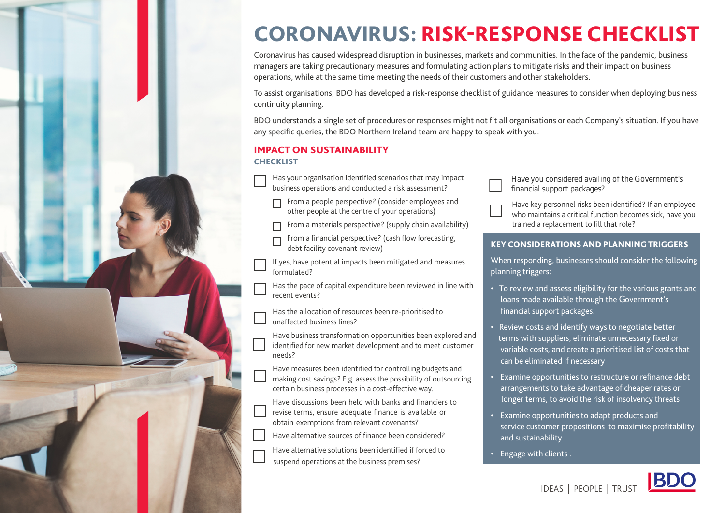# CORONAVIRUS: RISK-RESPONSE CHECKLIST

Coronavirus has caused widespread disruption in businesses, markets and communities. In the face of the pandemic, business managers are taking precautionary measures and formulating action plans to mitigate risks and their impact on business operations, while at the same time meeting the needs of their customers and other stakeholders.

To assist organisations, BDO has developed a risk-response checklist of guidance measures to consider when deploying business continuity planning.

BDO understands a single set of procedures or responses might not fit all organisations or each Company's situation. If you have any specific queries, the [BDO Northern Ireland team](https://www.bdoni.com/en-gb/services/managing-the-impact-of-covid-19/covid-19-hub) are happy to speak with you.

#### IMPACT ON SUSTAINABILITY **CHECKLIST**

Has your organisation identified scenarios that may impact business operations and conducted a risk assessment?

 From a people perspective? (consider employees and other people at the centre of your operations)

From a materials perspective? (supply chain availability)

 From a financial perspective? (cash flow forecasting, debt facility covenant review)

If yes, have potential impacts been mitigated and measures formulated?

Has the pace of capital expenditure been reviewed in line with recent events?

Has the allocation of resources been re-prioritised to unaffected business lines?

Have business transformation opportunities been explored and identified for new market development and to meet customer needs?

Have measures been identified for controlling budgets and making cost savings? E.g. assess the possibility of outsourcing certain business processes in a cost-effective way.

Have discussions been held with banks and financiers to revise terms, ensure adequate finance is available or obtain exemptions from relevant covenants?

Have alternative sources of finance been considered?

Have alternative solutions been identified if forced to suspend operations at the business premises?

- Have you considered availing of the Government's [financial support packages](https://www.bdoni.com/en-gb/services/managing-the-impact-of-covid-19/covid-19-hub/covid-19-immediate-next-steps-to-consider-24th-march)?
- Have key personnel risks been identified? If an employee who maintains a critical function becomes sick, have you trained a replacement to fill that role?

#### KEY CONSIDERATIONS AND PLANNING TRIGGERS

When responding, businesses should consider the following planning triggers:

- To review and assess eligibility for the various grants and loans made available through the Government's financial support packages.
- Review costs and identify ways to negotiate better terms with suppliers, eliminate unnecessary fixed or variable costs, and create a prioritised list of costs that can be eliminated if necessary
- Examine opportunities to restructure or refinance debt arrangements to take advantage of cheaper rates or longer terms, to avoid the risk of insolvency threats
- Examine opportunities to adapt products and service customer propositions to maximise profitability and sustainability.
- Engage with clients .

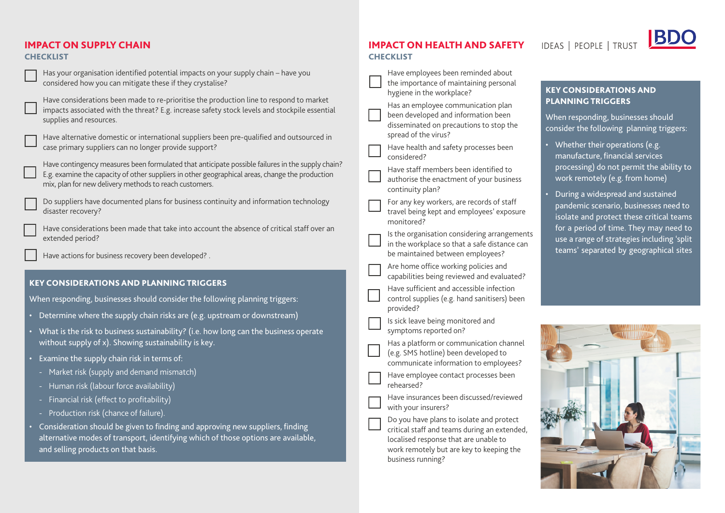## IMPACT ON SUPPLY CHAIN

#### **CHECKLIST**

| Has your organisation identified potential impacts on your supply chain - have you<br>considered how you can mitigate these if they crystalise?                                                                                                               | Have employees been reminded<br>the importance of maintaining p<br>hygiene in the workplace?                                                  |
|---------------------------------------------------------------------------------------------------------------------------------------------------------------------------------------------------------------------------------------------------------------|-----------------------------------------------------------------------------------------------------------------------------------------------|
| Have considerations been made to re-prioritise the production line to respond to market<br>impacts associated with the threat? E.g. increase safety stock levels and stockpile essential<br>supplies and resources.                                           | Has an employee communicatio<br>been developed and information<br>disseminated on precautions to                                              |
| Have alternative domestic or international suppliers been pre-qualified and outsourced in<br>case primary suppliers can no longer provide support?                                                                                                            | spread of the virus?<br>Have health and safety processe<br>considered?                                                                        |
| Have contingency measures been formulated that anticipate possible failures in the supply chain?<br>E.g. examine the capacity of other suppliers in other geographical areas, change the production<br>mix, plan for new delivery methods to reach customers. | Have staff members been identi<br>authorise the enactment of your<br>continuity plan?                                                         |
| Do suppliers have documented plans for business continuity and information technology<br>disaster recovery?                                                                                                                                                   | For any key workers, are records<br>travel being kept and employees<br>monitored?                                                             |
| Have considerations been made that take into account the absence of critical staff over an<br>extended period?<br>Have actions for business recovery been developed? .                                                                                        | Is the organisation considering a<br>in the workplace so that a safe d<br>be maintained between employ                                        |
|                                                                                                                                                                                                                                                               | Are home office working policies<br>capabilities being reviewed and                                                                           |
| <b>KEY CONSIDERATIONS AND PLANNING TRIGGERS</b><br>When responding, businesses should consider the following planning triggers:                                                                                                                               | Have sufficient and accessible in<br>control supplies (e.g. hand saniti<br>provided?                                                          |
| • Determine where the supply chain risks are (e.g. upstream or downstream)<br>• What is the risk to business sustainability? (i.e. how long can the business operate                                                                                          | Is sick leave being monitored an<br>symptoms reported on?                                                                                     |
| without supply of x). Showing sustainability is key.<br>• Examine the supply chain risk in terms of:                                                                                                                                                          | Has a platform or communicatio<br>(e.g. SMS hotline) been develope<br>communicate information to en                                           |
| - Market risk (supply and demand mismatch)<br>Human risk (labour force availability)                                                                                                                                                                          | Have employee contact process<br>rehearsed?                                                                                                   |
| Financial risk (effect to profitability)<br>Production risk (chance of failure).                                                                                                                                                                              | Have insurances been discussed,<br>with your insurers?                                                                                        |
| Consideration should be given to finding and approving new suppliers, finding<br>٠<br>alternative modes of transport, identifying which of those options are available,<br>and selling products on that basis.                                                | Do you have plans to isolate and<br>critical staff and teams during ar<br>localised response that are unab<br>work remotely but are key to ke |

#### IMPACT ON HEALTH AND SAFETY **CHECKLIST**

| Have employees been reminded about<br>the importance of maintaining personal<br>hygiene in the workplace? | К |
|-----------------------------------------------------------------------------------------------------------|---|
| Has an employee communication plan                                                                        |   |
| been developed and information been<br>disseminated on precautions to stop the                            |   |
| spread of the virus?                                                                                      | Ċ |
| Have health and safety processes been<br>considered?                                                      |   |
| Have staff members been identified to                                                                     |   |
| authorise the enactment of your business<br>continuity plan?                                              |   |
| For any key workers, are records of staff                                                                 |   |
| travel being kept and employees' exposure<br>monitored?                                                   |   |
| Is the organisation considering arrangements                                                              |   |
| in the workplace so that a safe distance can<br>be maintained between employees?                          |   |
| Are home office working policies and                                                                      |   |
| capabilities being reviewed and evaluated?                                                                |   |
| Have sufficient and accessible infection                                                                  |   |
| control supplies (e.g. hand sanitisers) been<br>provided?                                                 |   |
| Is sick leave being monitored and                                                                         |   |
| symptoms reported on?                                                                                     |   |
| Has a platform or communication channel<br>(e.g. SMS hotline) been developed to                           |   |
| communicate information to employees?                                                                     |   |
| Have employee contact processes been                                                                      |   |
| rehearsed?                                                                                                |   |
| Have insurances been discussed/reviewed<br>with your insurers?                                            |   |
| Do you have plans to isolate and protect                                                                  |   |
| critical staff and teams during an extended,<br>localised response that are unable to                     |   |
| work remotely but are key to keeping the                                                                  |   |
| business running?                                                                                         |   |

**IDEAS | PEOPLE | TRUST** 

## **BDO**

## KEY CONSIDERATIONS AND PLANNING TRIGGERS

When responding, businesses should consider the following planning triggers:

- Whether their operations (e.g. manufacture, financial services processing) do not permit the ability to work remotely (e.g. from home)
- During a widespread and sustained pandemic scenario, businesses need to isolate and protect these critical teams for a period of time. They may need to use a range of strategies including 'split teams' separated by geographical sites